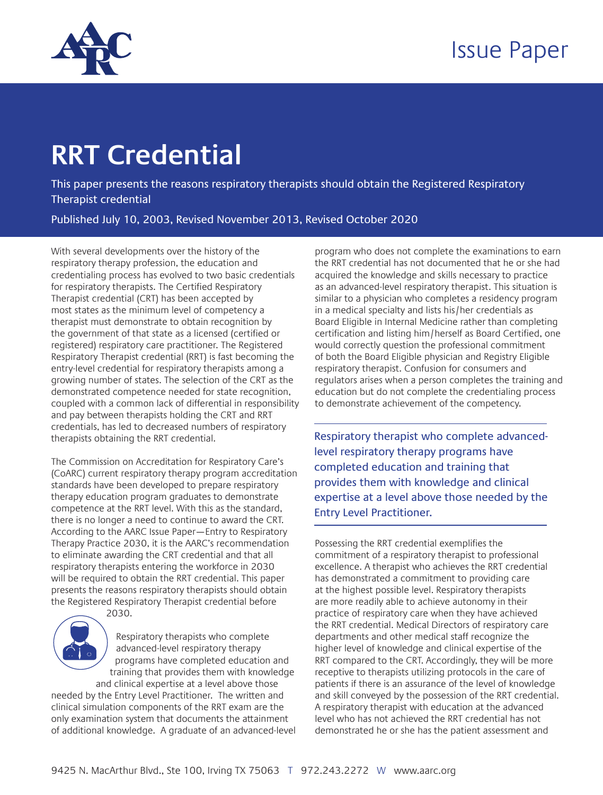

## **RRT Credential**

This paper presents the reasons respiratory therapists should obtain the Registered Respiratory Therapist credential

Published July 10, 2003, Revised November 2013, Revised October 2020

With several developments over the history of the respiratory therapy profession, the education and credentialing process has evolved to two basic credentials for respiratory therapists. The Certified Respiratory Therapist credential (CRT) has been accepted by most states as the minimum level of competency a therapist must demonstrate to obtain recognition by the government of that state as a licensed (certified or registered) respiratory care practitioner. The Registered Respiratory Therapist credential (RRT) is fast becoming the entry-level credential for respiratory therapists among a growing number of states. The selection of the CRT as the demonstrated competence needed for state recognition, coupled with a common lack of differential in responsibility and pay between therapists holding the CRT and RRT credentials, has led to decreased numbers of respiratory therapists obtaining the RRT credential.

The Commission on Accreditation for Respiratory Care's (CoARC) current respiratory therapy program accreditation standards have been developed to prepare respiratory therapy education program graduates to demonstrate competence at the RRT level. With this as the standard, there is no longer a need to continue to award the CRT. According to the AARC Issue Paper—Entry to Respiratory Therapy Practice 2030, it is the AARC's recommendation to eliminate awarding the CRT credential and that all respiratory therapists entering the workforce in 2030 will be required to obtain the RRT credential. This paper presents the reasons respiratory therapists should obtain the Registered Respiratory Therapist credential before 2030.



Respiratory therapists who complete advanced-level respiratory therapy programs have completed education and training that provides them with knowledge and clinical expertise at a level above those

needed by the Entry Level Practitioner. The written and clinical simulation components of the RRT exam are the only examination system that documents the attainment of additional knowledge. A graduate of an advanced-level

program who does not complete the examinations to earn the RRT credential has not documented that he or she had acquired the knowledge and skills necessary to practice as an advanced-level respiratory therapist. This situation is similar to a physician who completes a residency program in a medical specialty and lists his/her credentials as Board Eligible in Internal Medicine rather than completing certification and listing him/herself as Board Certified, one would correctly question the professional commitment of both the Board Eligible physician and Registry Eligible respiratory therapist. Confusion for consumers and regulators arises when a person completes the training and education but do not complete the credentialing process to demonstrate achievement of the competency.

Respiratory therapist who complete advancedlevel respiratory therapy programs have completed education and training that provides them with knowledge and clinical expertise at a level above those needed by the Entry Level Practitioner.

Possessing the RRT credential exemplifies the commitment of a respiratory therapist to professional excellence. A therapist who achieves the RRT credential has demonstrated a commitment to providing care at the highest possible level. Respiratory therapists are more readily able to achieve autonomy in their practice of respiratory care when they have achieved the RRT credential. Medical Directors of respiratory care departments and other medical staff recognize the higher level of knowledge and clinical expertise of the RRT compared to the CRT. Accordingly, they will be more receptive to therapists utilizing protocols in the care of patients if there is an assurance of the level of knowledge and skill conveyed by the possession of the RRT credential. A respiratory therapist with education at the advanced level who has not achieved the RRT credential has not demonstrated he or she has the patient assessment and